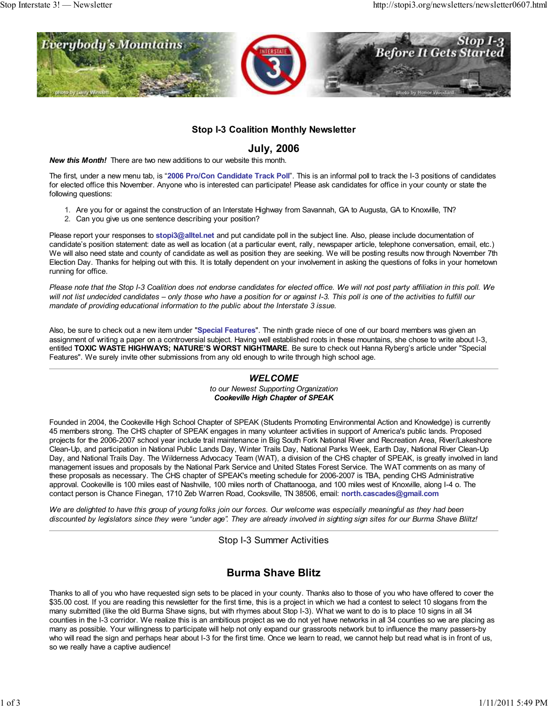

### **Stop I-3 Coalition Monthly Newsletter**

### **July, 2006**

*New this Month!* There are two new additions to our website this month.

The first, under a new menu tab, is "**2006 Pro/Con Candidate Track Poll**". This is an informal poll to track the I-3 positions of candidates for elected office this November. Anyone who is interested can participate! Please ask candidates for office in your county or state the following questions:

- 1. Are you for or against the construction of an Interstate Highway from Savannah, GA to Augusta, GA to Knoxville, TN?
- 2. Can you give us one sentence describing your position?

Please report your responses to **stopi3@alltel.net** and put candidate poll in the subject line. Also, please include documentation of candidate's position statement: date as well as location (at a particular event, rally, newspaper article, telephone conversation, email, etc.) We will also need state and county of candidate as well as position they are seeking. We will be posting results now through November 7th Election Day. Thanks for helping out with this. It is totally dependent on your involvement in asking the questions of folks in your hometown running for office.

*Please note that the Stop I-3 Coalition does not endorse candidates for elected office. We will not post party affiliation in this poll. We will not list undecided candidates – only those who have a position for or against I-3. This poll is one of the activities to fulfill our mandate of providing educational information to the public about the Interstate 3 issue.*

Also, be sure to check out a new item under "**Special Features**". The ninth grade niece of one of our board members was given an assignment of writing a paper on a controversial subject. Having well established roots in these mountains, she chose to write about I-3, entitled **TOXIC WASTE HIGHWAYS; NATURE'S WORST NIGHTMARE**. Be sure to check out Hanna Ryberg's article under "Special Features". We surely invite other submissions from any old enough to write through high school age.

#### *WELCOME to our Newest Supporting Organization Cookeville High Chapter of SPEAK*

Founded in 2004, the Cookeville High School Chapter of SPEAK (Students Promoting Environmental Action and Knowledge) is currently 45 members strong. The CHS chapter of SPEAK engages in many volunteer activities in support of America's public lands. Proposed projects for the 2006-2007 school year include trail maintenance in Big South Fork National River and Recreation Area, River/Lakeshore Clean-Up, and participation in National Public Lands Day, Winter Trails Day, National Parks Week, Earth Day, National River Clean-Up Day, and National Trails Day. The Wilderness Advocacy Team (WAT), a division of the CHS chapter of SPEAK, is greatly involved in land management issues and proposals by the National Park Service and United States Forest Service. The WAT comments on as many of these proposals as necessary. The CHS chapter of SPEAK's meeting schedule for 2006-2007 is TBA, pending CHS Administrative approval. Cookeville is 100 miles east of Nashville, 100 miles north of Chattanooga, and 100 miles west of Knoxville, along I-4 o. The contact person is Chance Finegan, 1710 Zeb Warren Road, Cooksville, TN 38506, email: **north.cascades@gmail.com**

*We are delighted to have this group of young folks join our forces. Our welcome was especially meaningful as they had been discounted by legislators since they were "under age". They are already involved in sighting sign sites for our Burma Shave Bliltz!*

Stop I-3 Summer Activities

# **Burma Shave Blitz**

Thanks to all of you who have requested sign sets to be placed in your county. Thanks also to those of you who have offered to cover the \$35.00 cost. If you are reading this newsletter for the first time, this is a project in which we had a contest to select 10 slogans from the many submitted (like the old Burma Shave signs, but with rhymes about Stop I-3). What we want to do is to place 10 signs in all 34 counties in the I-3 corridor. We realize this is an ambitious project as we do not yet have networks in all 34 counties so we are placing as many as possible. Your willingness to participate will help not only expand our grassroots network but to influence the many passers-by who will read the sign and perhaps hear about I-3 for the first time. Once we learn to read, we cannot help but read what is in front of us, so we really have a captive audience!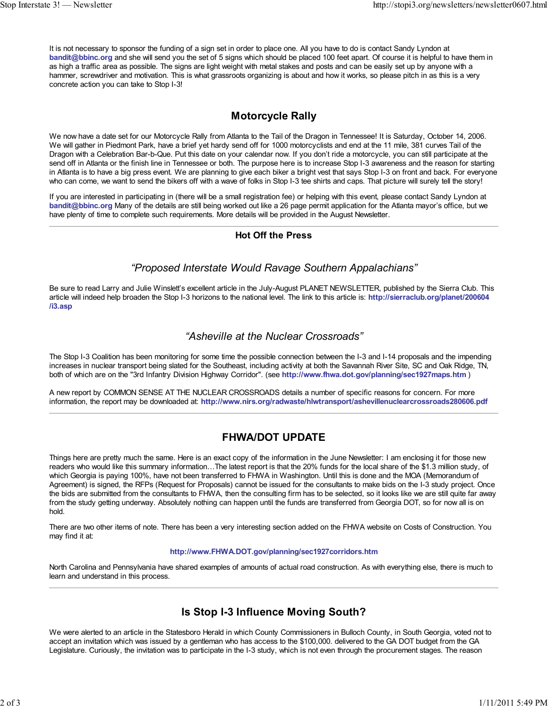It is not necessary to sponsor the funding of a sign set in order to place one. All you have to do is contact Sandy Lyndon at **bandit@bbinc.org** and she will send you the set of 5 signs which should be placed 100 feet apart. Of course it is helpful to have them in as high a traffic area as possible. The signs are light weight with metal stakes and posts and can be easily set up by anyone with a hammer, screwdriver and motivation. This is what grassroots organizing is about and how it works, so please pitch in as this is a very concrete action you can take to Stop I-3!

## **Motorcycle Rally**

We now have a date set for our Motorcycle Rally from Atlanta to the Tail of the Dragon in Tennessee! It is Saturday, October 14, 2006. We will gather in Piedmont Park, have a brief yet hardy send off for 1000 motorcyclists and end at the 11 mile, 381 curves Tail of the Dragon with a Celebration Bar-b-Que. Put this date on your calendar now. If you don't ride a motorcycle, you can still participate at the send off in Atlanta or the finish line in Tennessee or both. The purpose here is to increase Stop I-3 awareness and the reason for starting in Atlanta is to have a big press event. We are planning to give each biker a bright vest that says Stop I-3 on front and back. For everyone who can come, we want to send the bikers off with a wave of folks in Stop I-3 tee shirts and caps. That picture will surely tell the story!

If you are interested in participating in (there will be a small registration fee) or helping with this event, please contact Sandy Lyndon at **bandit@bbinc.org** Many of the details are still being worked out like a 26 page permit application for the Atlanta mayor's office, but we have plenty of time to complete such requirements. More details will be provided in the August Newsletter.

#### **Hot Off the Press**

## *"Proposed Interstate Would Ravage Southern Appalachians"*

Be sure to read Larry and Julie Winslett's excellent article in the July-August PLANET NEWSLETTER, published by the Sierra Club. This article will indeed help broaden the Stop I-3 horizons to the national level. The link to this article is: **http://sierraclub.org/planet/200604 /i3.asp**

## *"Asheville at the Nuclear Crossroads"*

The Stop I-3 Coalition has been monitoring for some time the possible connection between the I-3 and I-14 proposals and the impending increases in nuclear transport being slated for the Southeast, including activity at both the Savannah River Site, SC and Oak Ridge, TN, both of which are on the "3rd Infantry Division Highway Corridor". (see **http://www.fhwa.dot.gov/planning/sec1927maps.htm** )

A new report by COMMON SENSE AT THE NUCLEAR CROSSROADS details a number of specific reasons for concern. For more information, the report may be downloaded at: **http://www.nirs.org/radwaste/hlwtransport/ashevillenuclearcrossroads280606.pdf**

# **FHWA/DOT UPDATE**

Things here are pretty much the same. Here is an exact copy of the information in the June Newsletter: I am enclosing it for those new readers who would like this summary information...The latest report is that the 20% funds for the local share of the \$1.3 million study, of which Georgia is paying 100%, have not been transferred to FHWA in Washington. Until this is done and the MOA (Memorandum of Agreement) is signed, the RFPs (Request for Proposals) cannot be issued for the consultants to make bids on the I-3 study project. Once the bids are submitted from the consultants to FHWA, then the consulting firm has to be selected, so it looks like we are still quite far away from the study getting underway. Absolutely nothing can happen until the funds are transferred from Georgia DOT, so for now all is on hold.

There are two other items of note. There has been a very interesting section added on the FHWA website on Costs of Construction. You may find it at:

#### **http://www.FHWA.DOT.gov/planning/sec1927corridors.htm**

North Carolina and Pennsylvania have shared examples of amounts of actual road construction. As with everything else, there is much to learn and understand in this process.

# **Is Stop I-3 Influence Moving South?**

We were alerted to an article in the Statesboro Herald in which County Commissioners in Bulloch County, in South Georgia, voted not to accept an invitation which was issued by a gentleman who has access to the \$100,000. delivered to the GA DOT budget from the GA Legislature. Curiously, the invitation was to participate in the I-3 study, which is not even through the procurement stages. The reason